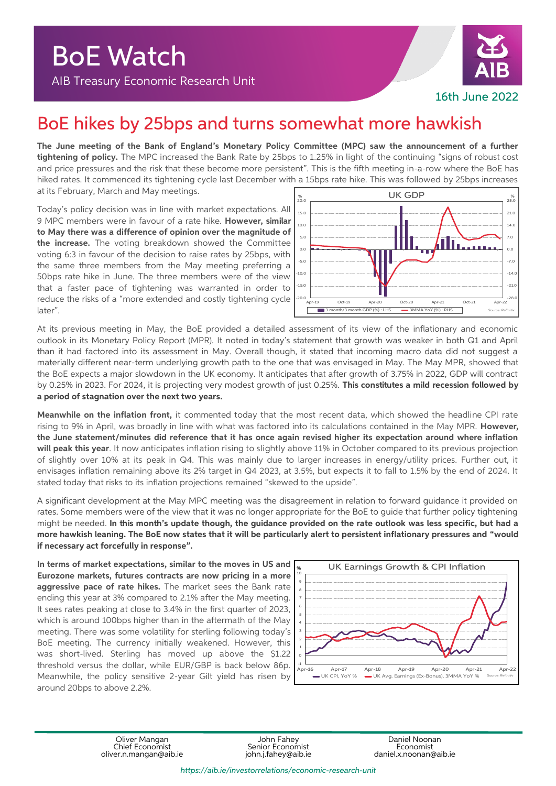

## BoE hikes by 25bps and turns somewhat more hawkish

**The June meeting of the Bank of England's Monetary Policy Committee (MPC) saw the announcement of a further tightening of policy.** The MPC increased the Bank Rate by 25bps to 1.25% in light of the continuing "signs of robust cost and price pressures and the risk that these become more persistent". This is the fifth meeting in-a-row where the BoE has hiked rates. It commenced its tightening cycle last December with a 15bps rate hike. This was followed by 25bps increases at its February, March and May meetings.

Today's policy decision was in line with market expectations. All 9 MPC members were in favour of a rate hike. **However, similar to May there was a difference of opinion over the magnitude of the increase.** The voting breakdown showed the Committee voting 6:3 in favour of the decision to raise rates by 25bps, with the same three members from the May meeting preferring a 50bps rate hike in June. The three members were of the view that a faster pace of tightening was warranted in order to reduce the risks of a "more extended and costly tightening cycle later".



At its previous meeting in May, the BoE provided a detailed assessment of its view of the inflationary and economic outlook in its Monetary Policy Report (MPR). It noted in today's statement that growth was weaker in both Q1 and April than it had factored into its assessment in May. Overall though, it stated that incoming macro data did not suggest a materially different near-term underlying growth path to the one that was envisaged in May. The May MPR, showed that the BoE expects a major slowdown in the UK economy. It anticipates that after growth of 3.75% in 2022, GDP will contract by 0.25% in 2023. For 2024, it is projecting very modest growth of just 0.25%. **This constitutes a mild recession followed by a period of stagnation over the next two years.**

**Meanwhile on the inflation front,** it commented today that the most recent data, which showed the headline CPI rate rising to 9% in April, was broadly in line with what was factored into its calculations contained in the May MPR. **However, the June statement/minutes did reference that it has once again revised higher its expectation around where inflation will peak this year**. It now anticipates inflation rising to slightly above 11% in October compared to its previous projection of slightly over 10% at its peak in Q4. This was mainly due to larger increases in energy/utility prices. Further out, it envisages inflation remaining above its 2% target in Q4 2023, at 3.5%, but expects it to fall to 1.5% by the end of 2024. It stated today that risks to its inflation projections remained "skewed to the upside".

A significant development at the May MPC meeting was the disagreement in relation to forward guidance it provided on rates. Some members were of the view that it was no longer appropriate for the BoE to guide that further policy tightening might be needed. **In this month's update though, the guidance provided on the rate outlook was less specific, but had a more hawkish leaning. The BoE now states that it will be particularly alert to persistent inflationary pressures and "would if necessary act forcefully in response".** 

**In terms of market expectations, similar to the moves in US and Eurozone markets, futures contracts are now pricing in a more aggressive pace of rate hikes.** The market sees the Bank rate ending this year at 3% compared to 2.1% after the May meeting. It sees rates peaking at close to 3.4% in the first quarter of 2023, which is around 100bps higher than in the aftermath of the May meeting. There was some volatility for sterling following today's BoE meeting. The currency initially weakened. However, this was short-lived. Sterling has moved up above the \$1.22 threshold versus the dollar, while EUR/GBP is back below 86p. Meanwhile, the policy sensitive 2-year Gilt yield has risen by around 20bps to above 2.2%.



Oliver Mangan John Fahey Daniel Noonan oliver.n.mangan@aib.ie

Chief Economist Senior Economist Economist